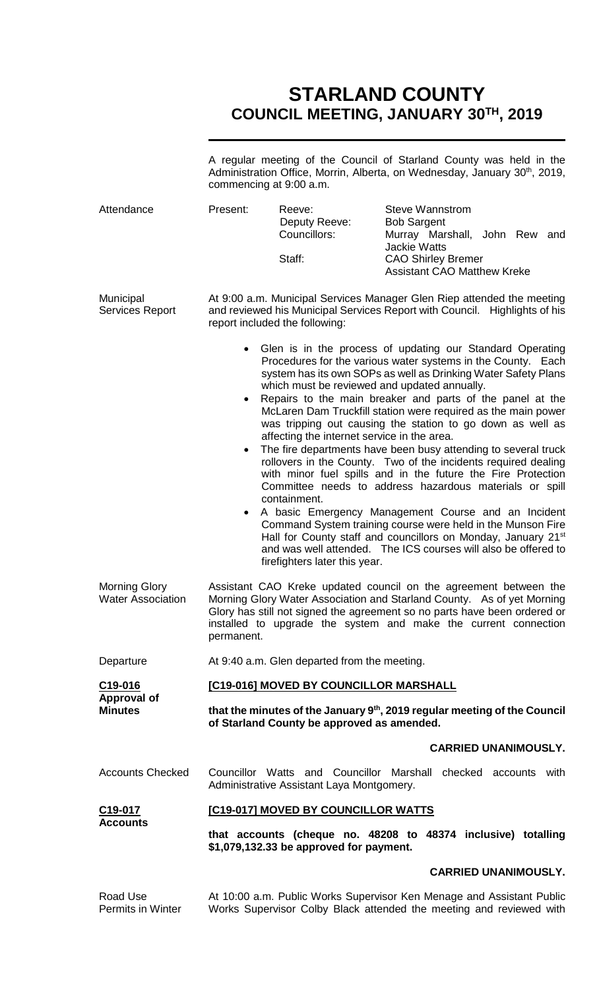# **STARLAND COUNTY COUNCIL MEETING, JANUARY 30TH, 2019**

|                                                  | A regular meeting of the Council of Starland County was held in the<br>Administration Office, Morrin, Alberta, on Wednesday, January 30 <sup>th</sup> , 2019,<br>commencing at 9:00 a.m. |                                                                                              |                                                                                                                                                                                                                                                                                                                                                                                                                                                                                                                                                                                                                                                                                                                                                                                                                                                                                                                                                                               |
|--------------------------------------------------|------------------------------------------------------------------------------------------------------------------------------------------------------------------------------------------|----------------------------------------------------------------------------------------------|-------------------------------------------------------------------------------------------------------------------------------------------------------------------------------------------------------------------------------------------------------------------------------------------------------------------------------------------------------------------------------------------------------------------------------------------------------------------------------------------------------------------------------------------------------------------------------------------------------------------------------------------------------------------------------------------------------------------------------------------------------------------------------------------------------------------------------------------------------------------------------------------------------------------------------------------------------------------------------|
| Attendance                                       | Present:                                                                                                                                                                                 | Reeve:<br>Deputy Reeve:<br>Councillors:<br>Staff:                                            | <b>Steve Wannstrom</b><br><b>Bob Sargent</b><br>Murray Marshall, John Rew and<br><b>Jackie Watts</b><br><b>CAO Shirley Bremer</b>                                                                                                                                                                                                                                                                                                                                                                                                                                                                                                                                                                                                                                                                                                                                                                                                                                             |
|                                                  |                                                                                                                                                                                          |                                                                                              | <b>Assistant CAO Matthew Kreke</b>                                                                                                                                                                                                                                                                                                                                                                                                                                                                                                                                                                                                                                                                                                                                                                                                                                                                                                                                            |
| Municipal<br><b>Services Report</b>              | At 9:00 a.m. Municipal Services Manager Glen Riep attended the meeting<br>and reviewed his Municipal Services Report with Council. Highlights of his<br>report included the following:   |                                                                                              |                                                                                                                                                                                                                                                                                                                                                                                                                                                                                                                                                                                                                                                                                                                                                                                                                                                                                                                                                                               |
|                                                  | $\bullet$<br>$\bullet$<br>$\bullet$                                                                                                                                                      | affecting the internet service in the area.<br>containment.<br>firefighters later this year. | • Glen is in the process of updating our Standard Operating<br>Procedures for the various water systems in the County. Each<br>system has its own SOPs as well as Drinking Water Safety Plans<br>which must be reviewed and updated annually.<br>Repairs to the main breaker and parts of the panel at the<br>McLaren Dam Truckfill station were required as the main power<br>was tripping out causing the station to go down as well as<br>The fire departments have been busy attending to several truck<br>rollovers in the County. Two of the incidents required dealing<br>with minor fuel spills and in the future the Fire Protection<br>Committee needs to address hazardous materials or spill<br>A basic Emergency Management Course and an Incident<br>Command System training course were held in the Munson Fire<br>Hall for County staff and councillors on Monday, January 21 <sup>st</sup><br>and was well attended. The ICS courses will also be offered to |
| <b>Morning Glory</b><br><b>Water Association</b> | permanent.                                                                                                                                                                               |                                                                                              | Assistant CAO Kreke updated council on the agreement between the<br>Morning Glory Water Association and Starland County. As of yet Morning<br>Glory has still not signed the agreement so no parts have been ordered or<br>installed to upgrade the system and make the current connection                                                                                                                                                                                                                                                                                                                                                                                                                                                                                                                                                                                                                                                                                    |
| Departure                                        |                                                                                                                                                                                          | At 9:40 a.m. Glen departed from the meeting.                                                 |                                                                                                                                                                                                                                                                                                                                                                                                                                                                                                                                                                                                                                                                                                                                                                                                                                                                                                                                                                               |
| C <sub>19</sub> -016                             | [C19-016] MOVED BY COUNCILLOR MARSHALL                                                                                                                                                   |                                                                                              |                                                                                                                                                                                                                                                                                                                                                                                                                                                                                                                                                                                                                                                                                                                                                                                                                                                                                                                                                                               |
| <b>Approval of</b><br><b>Minutes</b>             | that the minutes of the January $9th$ , 2019 regular meeting of the Council<br>of Starland County be approved as amended.                                                                |                                                                                              |                                                                                                                                                                                                                                                                                                                                                                                                                                                                                                                                                                                                                                                                                                                                                                                                                                                                                                                                                                               |
|                                                  |                                                                                                                                                                                          |                                                                                              | <b>CARRIED UNANIMOUSLY.</b>                                                                                                                                                                                                                                                                                                                                                                                                                                                                                                                                                                                                                                                                                                                                                                                                                                                                                                                                                   |
| <b>Accounts Checked</b>                          |                                                                                                                                                                                          | Administrative Assistant Laya Montgomery.                                                    | Councillor Watts and Councillor Marshall checked accounts with                                                                                                                                                                                                                                                                                                                                                                                                                                                                                                                                                                                                                                                                                                                                                                                                                                                                                                                |
| C <sub>19</sub> -017                             | [C19-017] MOVED BY COUNCILLOR WATTS                                                                                                                                                      |                                                                                              |                                                                                                                                                                                                                                                                                                                                                                                                                                                                                                                                                                                                                                                                                                                                                                                                                                                                                                                                                                               |
| <b>Accounts</b>                                  |                                                                                                                                                                                          | \$1,079,132.33 be approved for payment.                                                      | that accounts (cheque no. 48208 to 48374 inclusive) totalling                                                                                                                                                                                                                                                                                                                                                                                                                                                                                                                                                                                                                                                                                                                                                                                                                                                                                                                 |
|                                                  |                                                                                                                                                                                          |                                                                                              | <b>CARRIED UNANIMOUSLY.</b>                                                                                                                                                                                                                                                                                                                                                                                                                                                                                                                                                                                                                                                                                                                                                                                                                                                                                                                                                   |
| Road Use<br>Permits in Winter                    |                                                                                                                                                                                          |                                                                                              | At 10:00 a.m. Public Works Supervisor Ken Menage and Assistant Public<br>Works Supervisor Colby Black attended the meeting and reviewed with                                                                                                                                                                                                                                                                                                                                                                                                                                                                                                                                                                                                                                                                                                                                                                                                                                  |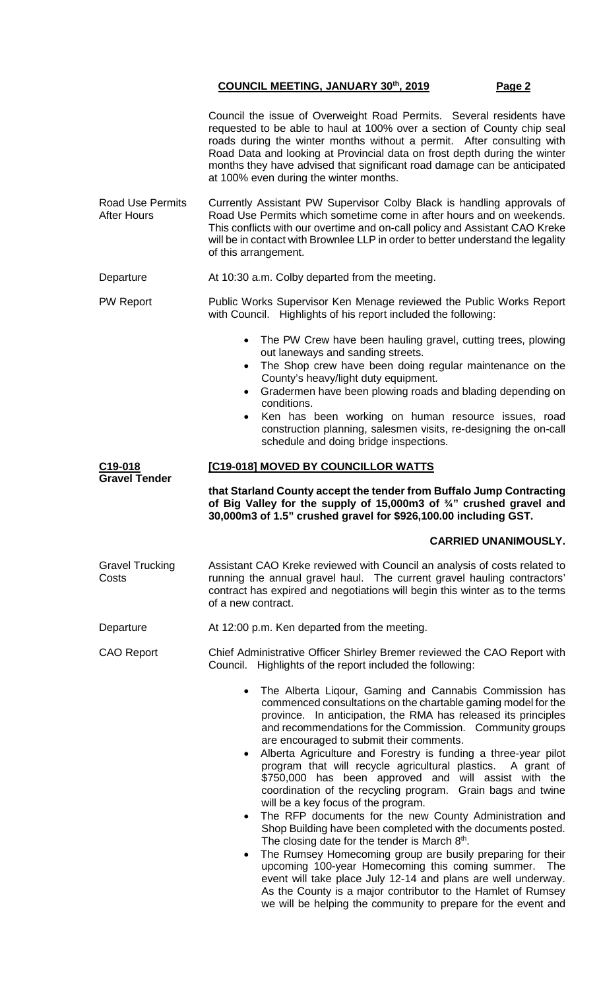Council the issue of Overweight Road Permits. Several residents have requested to be able to haul at 100% over a section of County chip seal roads during the winter months without a permit. After consulting with Road Data and looking at Provincial data on frost depth during the winter months they have advised that significant road damage can be anticipated at 100% even during the winter months.

- Road Use Permits After Hours Currently Assistant PW Supervisor Colby Black is handling approvals of Road Use Permits which sometime come in after hours and on weekends. This conflicts with our overtime and on-call policy and Assistant CAO Kreke will be in contact with Brownlee LLP in order to better understand the legality of this arrangement.
- Departure **At 10:30 a.m. Colby departed from the meeting.** PW Report Public Works Supervisor Ken Menage reviewed the Public Works Report with Council. Highlights of his report included the following:
	- The PW Crew have been hauling gravel, cutting trees, plowing out laneways and sanding streets.
	- The Shop crew have been doing regular maintenance on the County's heavy/light duty equipment.
	- Gradermen have been plowing roads and blading depending on conditions.
	- Ken has been working on human resource issues, road construction planning, salesmen visits, re-designing the on-call schedule and doing bridge inspections.

# **[C19-018] MOVED BY COUNCILLOR WATTS**

**that Starland County accept the tender from Buffalo Jump Contracting of Big Valley for the supply of 15,000m3 of ¾" crushed gravel and 30,000m3 of 1.5" crushed gravel for \$926,100.00 including GST.**

# **CARRIED UNANIMOUSLY.**

Gravel Trucking **Costs** Assistant CAO Kreke reviewed with Council an analysis of costs related to running the annual gravel haul. The current gravel hauling contractors' contract has expired and negotiations will begin this winter as to the terms of a new contract.

Departure **At 12:00 p.m. Ken departed from the meeting.** 

**C19-018 Gravel Tender**

- CAO Report Chief Administrative Officer Shirley Bremer reviewed the CAO Report with Council. Highlights of the report included the following:
	- The Alberta Liqour, Gaming and Cannabis Commission has commenced consultations on the chartable gaming model for the province. In anticipation, the RMA has released its principles and recommendations for the Commission. Community groups are encouraged to submit their comments.
	- Alberta Agriculture and Forestry is funding a three-year pilot program that will recycle agricultural plastics. A grant of \$750,000 has been approved and will assist with the coordination of the recycling program. Grain bags and twine will be a key focus of the program.
	- The RFP documents for the new County Administration and Shop Building have been completed with the documents posted. The closing date for the tender is March  $8<sup>th</sup>$ .
	- The Rumsey Homecoming group are busily preparing for their upcoming 100-year Homecoming this coming summer. The event will take place July 12-14 and plans are well underway. As the County is a major contributor to the Hamlet of Rumsey we will be helping the community to prepare for the event and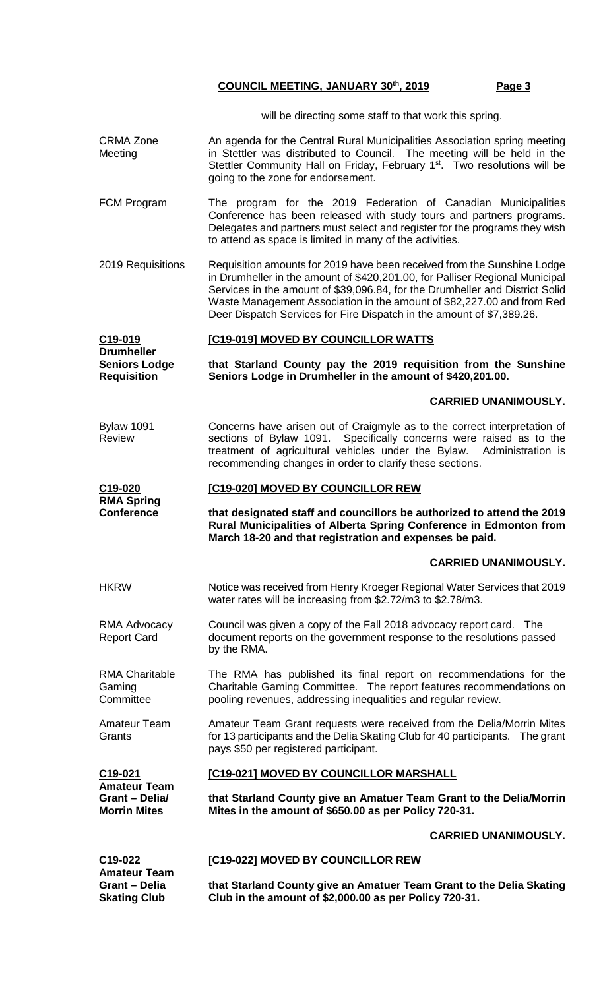will be directing some staff to that work this spring.

- CRMA Zone **Meeting** An agenda for the Central Rural Municipalities Association spring meeting in Stettler was distributed to Council. The meeting will be held in the Stettler Community Hall on Friday, February 1<sup>st</sup>. Two resolutions will be going to the zone for endorsement.
- FCM Program The program for the 2019 Federation of Canadian Municipalities Conference has been released with study tours and partners programs. Delegates and partners must select and register for the programs they wish to attend as space is limited in many of the activities.
- 2019 Requisitions Requisition amounts for 2019 have been received from the Sunshine Lodge in Drumheller in the amount of \$420,201.00, for Palliser Regional Municipal Services in the amount of \$39,096.84, for the Drumheller and District Solid Waste Management Association in the amount of \$82,227.00 and from Red Deer Dispatch Services for Fire Dispatch in the amount of \$7,389.26.

| C19-019<br>Drumheller | [C19-019] MOVED BY COUNCILLOR WATTS                             |
|-----------------------|-----------------------------------------------------------------|
| <b>Seniors Lodge</b>  | that Starland County pay the 2019 requisition from the Sunshine |
| <b>Requisition</b>    | Seniors Lodge in Drumheller in the amount of \$420,201.00.      |

# **CARRIED UNANIMOUSLY.**

Bylaw 1091 Review Concerns have arisen out of Craigmyle as to the correct interpretation of sections of Bylaw 1091. Specifically concerns were raised as to the treatment of agricultural vehicles under the Bylaw. Administration is recommending changes in order to clarify these sections.

### **C19-020 [C19-020] MOVED BY COUNCILLOR REW**

**RMA Spring Conference**

Gaming **Committee** 

**Grants** 

Amateur Team

**that designated staff and councillors be authorized to attend the 2019 Rural Municipalities of Alberta Spring Conference in Edmonton from March 18-20 and that registration and expenses be paid.**

# **CARRIED UNANIMOUSLY.**

- HKRW Notice was received from Henry Kroeger Regional Water Services that 2019 water rates will be increasing from \$2.72/m3 to \$2.78/m3.
- RMA Advocacy Report Card Council was given a copy of the Fall 2018 advocacy report card. The document reports on the government response to the resolutions passed by the RMA.

RMA Charitable The RMA has published its final report on recommendations for the Charitable Gaming Committee. The report features recommendations on pooling revenues, addressing inequalities and regular review.

> Amateur Team Grant requests were received from the Delia/Morrin Mites for 13 participants and the Delia Skating Club for 40 participants. The grant pays \$50 per registered participant.

**C19-021 Amateur Team Grant – Delia/ Morrin Mites [C19-021] MOVED BY COUNCILLOR MARSHALL that Starland County give an Amatuer Team Grant to the Delia/Morrin Mites in the amount of \$650.00 as per Policy 720-31.**

# **CARRIED UNANIMOUSLY.**

| C19-022              | <b>[C19-022] MOVED BY COUNCILLOR REW</b>                             |
|----------------------|----------------------------------------------------------------------|
| <b>Amateur Team</b>  |                                                                      |
| <b>Grant</b> – Delia | that Starland County give an Amatuer Team Grant to the Delia Skating |
| <b>Skating Club</b>  | Club in the amount of \$2,000.00 as per Policy 720-31.               |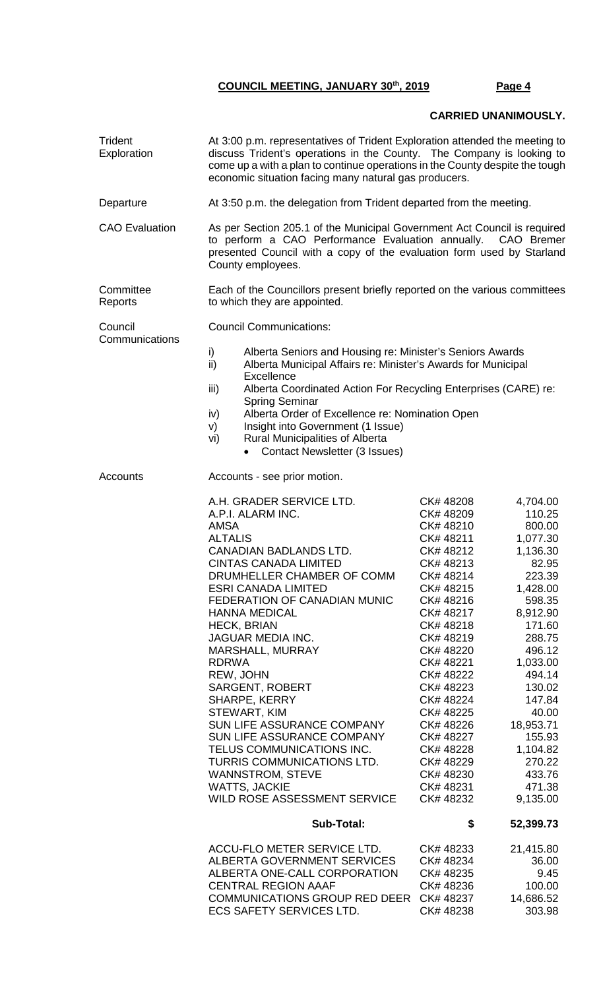## **CARRIED UNANIMOUSLY.**

**Trident** Exploration At 3:00 p.m. representatives of Trident Exploration attended the meeting to discuss Trident's operations in the County. The Company is looking to come up a with a plan to continue operations in the County despite the tough economic situation facing many natural gas producers. Departure **At 3:50 p.m. the delegation from Trident departed from the meeting.** CAO Evaluation As per Section 205.1 of the Municipal Government Act Council is required to perform a CAO Performance Evaluation annually. CAO Bremer presented Council with a copy of the evaluation form used by Starland County employees. **Committee** Reports Each of the Councillors present briefly reported on the various committees to which they are appointed. **Council Communications** Council Communications: i) Alberta Seniors and Housing re: Minister's Seniors Awards ii) Alberta Municipal Affairs re: Minister's Awards for Municipal **Excellence** iii) Alberta Coordinated Action For Recycling Enterprises (CARE) re: Spring Seminar iv) Alberta Order of Excellence re: Nomination Open v) Insight into Government (1 Issue) vi) Rural Municipalities of Alberta • Contact Newsletter (3 Issues) Accounts **Accounts** - see prior motion. A.H. GRADER SERVICE LTD. CK# 48208 4,704.00 A.P.I. ALARM INC. CK# 48209 110.25 AMSA CK# 48210 800.00 CK# 48211 1,077.30 CANADIAN BADLANDS LTD. CK# 48212 1,136.30 CINTAS CANADA LIMITED CK# 48213 82.95 DRUMHELLER CHAMBER OF COMM CK# 48214 223.39 ESRI CANADA LIMITED CK# 48215 1,428.00 FEDERATION OF CANADIAN MUNIC CK# 48216<br>HANNA MEDICAL CK# 48217 HANNA MEDICAL CK# 48217 8,912.90 HECK, BRIAN CK# 48218 171.60 JAGUAR MEDIA INC. CK# 48219 288.75 MARSHALL, MURRAY CK# 48220 496.12 RDRWA CK# 48221 1,033.00 REW, JOHN **CK# 48222** 494.14 SARGENT, ROBERT CK# 48223 130.02 SHARPE, KERRY CK# 48224 147.84 STEWART, KIM CK# 48225 40.00 SUN LIFE ASSURANCE COMPANY CK# 48226 18,953.71 SUN LIFE ASSURANCE COMPANY CK# 48227 155.93 TELUS COMMUNICATIONS INC. CK# 48228 1,104.82 TURRIS COMMUNICATIONS LTD. CK# 48229 270.22 WANNSTROM, STEVE **CK# 48230** 433.76 WATTS, JACKIE CK# 48231 471.38 WILD ROSE ASSESSMENT SERVICE CK# 48232 9,135.00  **Sub-Total: \$ 52,399.73** ACCU-FLO METER SERVICE LTD. CK# 48233 21,415.80<br>ALBERTA GOVERNMENT SERVICES CK# 48234 36.00 ALBERTA GOVERNMENT SERVICES CK# 48234 36.00 ALBERTA ONE-CALL CORPORATION CK# 48235 9.45 CENTRAL REGION AAAF CK# 48236 100.00 COMMUNICATIONS GROUP RED DEER CK# 48237 14,686.52 **ECS SAFETY SERVICES LTD.**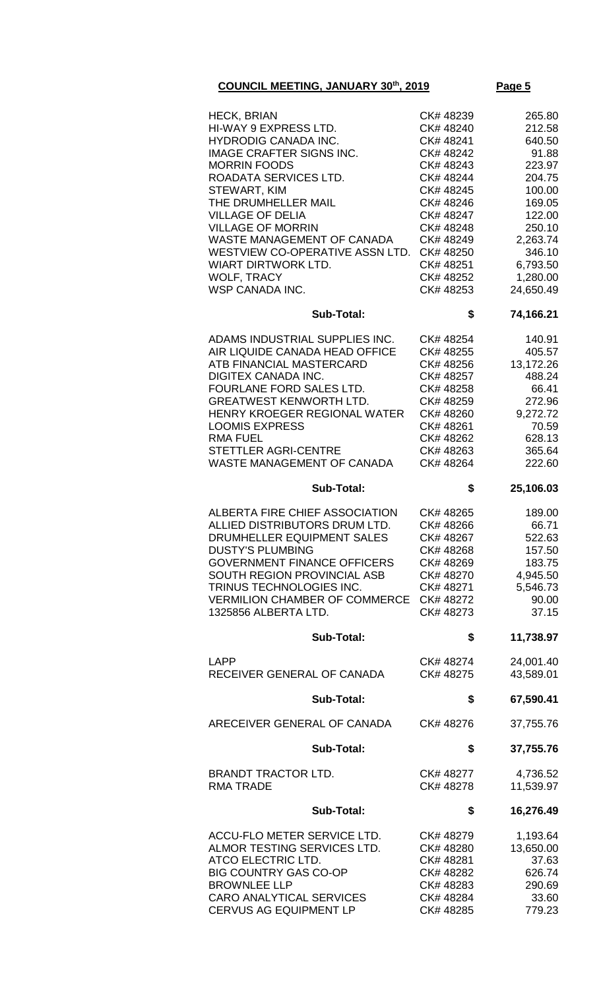| <b>HECK, BRIAN</b><br>HI-WAY 9 EXPRESS LTD.<br><b>HYDRODIG CANADA INC.</b><br><b>IMAGE CRAFTER SIGNS INC.</b><br><b>MORRIN FOODS</b><br>ROADATA SERVICES LTD.<br>STEWART, KIM<br>THE DRUMHELLER MAIL<br><b>VILLAGE OF DELIA</b><br><b>VILLAGE OF MORRIN</b><br>WASTE MANAGEMENT OF CANADA<br>WESTVIEW CO-OPERATIVE ASSN LTD.<br><b>WIART DIRTWORK LTD.</b><br><b>WOLF, TRACY</b><br><b>WSP CANADA INC.</b> | CK# 48239<br>CK# 48240<br>CK#48241<br>CK# 48242<br>CK# 48243<br>CK# 48244<br>CK# 48245<br>CK# 48246<br>CK# 48247<br>CK# 48248<br>CK#48249<br>CK# 48250<br>CK# 48251<br>CK# 48252<br>CK# 48253 | 265.80<br>212.58<br>640.50<br>91.88<br>223.97<br>204.75<br>100.00<br>169.05<br>122.00<br>250.10<br>2,263.74<br>346.10<br>6,793.50<br>1,280.00<br>24,650.49 |
|------------------------------------------------------------------------------------------------------------------------------------------------------------------------------------------------------------------------------------------------------------------------------------------------------------------------------------------------------------------------------------------------------------|-----------------------------------------------------------------------------------------------------------------------------------------------------------------------------------------------|------------------------------------------------------------------------------------------------------------------------------------------------------------|
| <b>Sub-Total:</b>                                                                                                                                                                                                                                                                                                                                                                                          | \$                                                                                                                                                                                            | 74,166.21                                                                                                                                                  |
| ADAMS INDUSTRIAL SUPPLIES INC.<br>AIR LIQUIDE CANADA HEAD OFFICE<br>ATB FINANCIAL MASTERCARD<br><b>DIGITEX CANADA INC.</b><br>FOURLANE FORD SALES LTD.<br><b>GREATWEST KENWORTH LTD.</b><br>HENRY KROEGER REGIONAL WATER<br><b>LOOMIS EXPRESS</b><br><b>RMA FUEL</b><br>STETTLER AGRI-CENTRE<br>WASTE MANAGEMENT OF CANADA                                                                                 | CK# 48254<br>CK# 48255<br>CK# 48256<br>CK# 48257<br>CK# 48258<br>CK# 48259<br>CK# 48260<br>CK# 48261<br>CK# 48262<br>CK# 48263<br>CK# 48264                                                   | 140.91<br>405.57<br>13,172.26<br>488.24<br>66.41<br>272.96<br>9,272.72<br>70.59<br>628.13<br>365.64<br>222.60                                              |
| <b>Sub-Total:</b>                                                                                                                                                                                                                                                                                                                                                                                          | \$                                                                                                                                                                                            | 25,106.03                                                                                                                                                  |
| ALBERTA FIRE CHIEF ASSOCIATION<br>ALLIED DISTRIBUTORS DRUM LTD.<br>DRUMHELLER EQUIPMENT SALES<br><b>DUSTY'S PLUMBING</b><br><b>GOVERNMENT FINANCE OFFICERS</b><br>SOUTH REGION PROVINCIAL ASB<br>TRINUS TECHNOLOGIES INC.<br><b>VERMILION CHAMBER OF COMMERCE</b><br>1325856 ALBERTA LTD.                                                                                                                  | CK# 48265<br>CK# 48266<br>CK# 48267<br>CK# 48268<br>CK# 48269<br>CK# 48270<br>CK# 48271<br>CK# 48272<br>CK# 48273                                                                             | 189.00<br>66.71<br>522.63<br>157.50<br>183.75<br>4,945.50<br>5,546.73<br>90.00<br>37.15                                                                    |
| <b>Sub-Total:</b>                                                                                                                                                                                                                                                                                                                                                                                          | \$                                                                                                                                                                                            | 11,738.97                                                                                                                                                  |
| <b>LAPP</b><br>RECEIVER GENERAL OF CANADA                                                                                                                                                                                                                                                                                                                                                                  | CK# 48274<br>CK# 48275                                                                                                                                                                        | 24,001.40<br>43,589.01                                                                                                                                     |
| <b>Sub-Total:</b>                                                                                                                                                                                                                                                                                                                                                                                          | \$                                                                                                                                                                                            | 67,590.41                                                                                                                                                  |
| ARECEIVER GENERAL OF CANADA                                                                                                                                                                                                                                                                                                                                                                                | CK# 48276                                                                                                                                                                                     | 37,755.76                                                                                                                                                  |
| <b>Sub-Total:</b>                                                                                                                                                                                                                                                                                                                                                                                          | \$                                                                                                                                                                                            | 37,755.76                                                                                                                                                  |
| <b>BRANDT TRACTOR LTD.</b><br><b>RMA TRADE</b>                                                                                                                                                                                                                                                                                                                                                             | CK# 48277<br>CK# 48278                                                                                                                                                                        | 4,736.52<br>11,539.97                                                                                                                                      |
| <b>Sub-Total:</b>                                                                                                                                                                                                                                                                                                                                                                                          | \$                                                                                                                                                                                            | 16,276.49                                                                                                                                                  |
| ACCU-FLO METER SERVICE LTD.<br>ALMOR TESTING SERVICES LTD.<br>ATCO ELECTRIC LTD.<br><b>BIG COUNTRY GAS CO-OP</b><br><b>BROWNLEE LLP</b><br><b>CARO ANALYTICAL SERVICES</b><br><b>CERVUS AG EQUIPMENT LP</b>                                                                                                                                                                                                | CK# 48279<br>CK# 48280<br>CK# 48281<br>CK# 48282<br>CK#48283<br>CK# 48284<br>CK# 48285                                                                                                        | 1,193.64<br>13,650.00<br>37.63<br>626.74<br>290.69<br>33.60<br>779.23                                                                                      |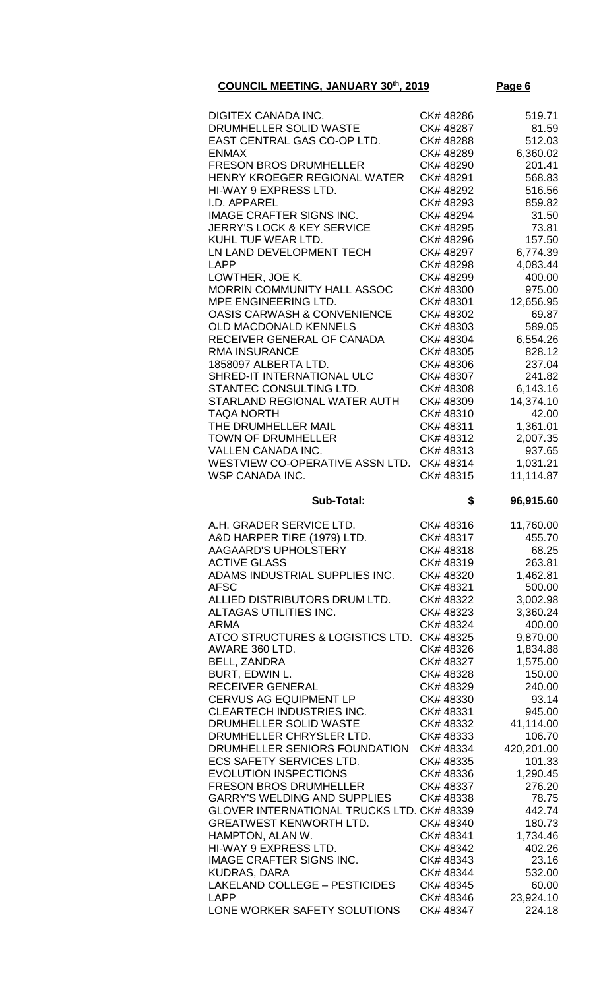| DIGITEX CANADA INC.                                 | CK# 48286              | 519.71             |
|-----------------------------------------------------|------------------------|--------------------|
| DRUMHELLER SOLID WASTE                              | CK#48287               | 81.59              |
| EAST CENTRAL GAS CO-OP LTD.                         | CK# 48288              | 512.03             |
| <b>ENMAX</b>                                        | CK# 48289              | 6,360.02           |
|                                                     |                        |                    |
| <b>FRESON BROS DRUMHELLER</b>                       | CK# 48290              | 201.41             |
| HENRY KROEGER REGIONAL WATER                        | CK# 48291              | 568.83             |
| HI-WAY 9 EXPRESS LTD.                               | CK# 48292              | 516.56             |
|                                                     |                        |                    |
| I.D. APPAREL                                        | CK# 48293              | 859.82             |
| <b>IMAGE CRAFTER SIGNS INC.</b>                     | CK# 48294              | 31.50              |
| <b>JERRY'S LOCK &amp; KEY SERVICE</b>               | CK# 48295              | 73.81              |
| KUHL TUF WEAR LTD.                                  | CK#48296               | 157.50             |
|                                                     |                        |                    |
| LN LAND DEVELOPMENT TECH                            | CK# 48297              | 6,774.39           |
| <b>LAPP</b>                                         | CK# 48298              | 4,083.44           |
| LOWTHER, JOE K.                                     | CK# 48299              | 400.00             |
| MORRIN COMMUNITY HALL ASSOC                         | CK# 48300              | 975.00             |
|                                                     |                        |                    |
| MPE ENGINEERING LTD.                                | CK# 48301              | 12,656.95          |
| <b>OASIS CARWASH &amp; CONVENIENCE</b>              | CK# 48302              | 69.87              |
| OLD MACDONALD KENNELS                               | CK#48303               | 589.05             |
| RECEIVER GENERAL OF CANADA                          |                        | 6,554.26           |
|                                                     | CK# 48304              |                    |
| <b>RMA INSURANCE</b>                                | CK# 48305              | 828.12             |
| 1858097 ALBERTA LTD.                                | CK# 48306              | 237.04             |
| SHRED-IT INTERNATIONAL ULC                          | CK# 48307              | 241.82             |
|                                                     |                        |                    |
| STANTEC CONSULTING LTD.                             | CK#48308               | 6,143.16           |
| STARLAND REGIONAL WATER AUTH                        | CK#48309               | 14,374.10          |
| <b>TAQA NORTH</b>                                   | CK#48310               | 42.00              |
| THE DRUMHELLER MAIL                                 |                        |                    |
|                                                     | CK# 48311              | 1,361.01           |
| <b>TOWN OF DRUMHELLER</b>                           | CK# 48312              | 2,007.35           |
| VALLEN CANADA INC.                                  | CK#48313               | 937.65             |
| WESTVIEW CO-OPERATIVE ASSN LTD.                     | CK#48314               | 1,031.21           |
|                                                     |                        |                    |
| WSP CANADA INC.                                     | CK#48315               | 11,114.87          |
|                                                     |                        |                    |
| <b>Sub-Total:</b>                                   | \$                     | 96,915.60          |
|                                                     |                        |                    |
|                                                     |                        |                    |
| A.H. GRADER SERVICE LTD.                            | CK#48316               | 11,760.00          |
| A&D HARPER TIRE (1979) LTD.                         | CK# 48317              | 455.70             |
| AAGAARD'S UPHOLSTERY                                | CK#48318               | 68.25              |
| <b>ACTIVE GLASS</b>                                 | CK#48319               | 263.81             |
|                                                     |                        |                    |
| ADAMS INDUSTRIAL SUPPLIES INC.                      | CK#48320               | 1,462.81           |
| <b>AFSC</b>                                         | CK# 48321              | 500.00             |
| ALLIED DISTRIBUTORS DRUM LTD.                       | CK# 48322              | 3,002.98           |
| ALTAGAS UTILITIES INC.                              | CK#48323               | 3,360.24           |
|                                                     |                        |                    |
| ARMA                                                | CK# 48324              | 400.00             |
| ATCO STRUCTURES & LOGISTICS LTD.                    | CK# 48325              | 9,870.00           |
| AWARE 360 LTD.                                      | CK# 48326              | 1,834.88           |
| <b>BELL, ZANDRA</b>                                 | CK# 48327              | 1,575.00           |
|                                                     |                        |                    |
| BURT, EDWIN L.                                      | CK# 48328              | 150.00             |
| <b>RECEIVER GENERAL</b>                             | CK# 48329              | 240.00             |
| CERVUS AG EQUIPMENT LP                              | CK# 48330              | 93.14              |
| <b>CLEARTECH INDUSTRIES INC.</b>                    | CK#48331               | 945.00             |
|                                                     |                        |                    |
| DRUMHELLER SOLID WASTE                              | CK#48332               | 41,114.00          |
| DRUMHELLER CHRYSLER LTD.                            | CK#48333               | 106.70             |
| DRUMHELLER SENIORS FOUNDATION                       | CK#48334               | 420,201.00         |
| <b>ECS SAFETY SERVICES LTD.</b>                     | CK# 48335              | 101.33             |
|                                                     |                        |                    |
| <b>EVOLUTION INSPECTIONS</b>                        | CK# 48336              | 1,290.45           |
| <b>FRESON BROS DRUMHELLER</b>                       | CK#48337               | 276.20             |
| <b>GARRY'S WELDING AND SUPPLIES</b>                 | CK#48338               | 78.75              |
| GLOVER INTERNATIONAL TRUCKS LTD. CK# 48339          |                        | 442.74             |
| <b>GREATWEST KENWORTH LTD.</b>                      | CK#48340               | 180.73             |
|                                                     |                        |                    |
| HAMPTON, ALAN W.                                    | CK#48341               | 1,734.46           |
| HI-WAY 9 EXPRESS LTD.                               | CK# 48342              | 402.26             |
| <b>IMAGE CRAFTER SIGNS INC.</b>                     | CK# 48343              | 23.16              |
| <b>KUDRAS, DARA</b>                                 | CK# 48344              | 532.00             |
|                                                     |                        |                    |
| <b>LAKELAND COLLEGE - PESTICIDES</b><br><b>LAPP</b> | CK# 48345<br>CK# 48346 | 60.00<br>23,924.10 |

LONE WORKER SAFETY SOLUTIONS CK# 48347 224.18